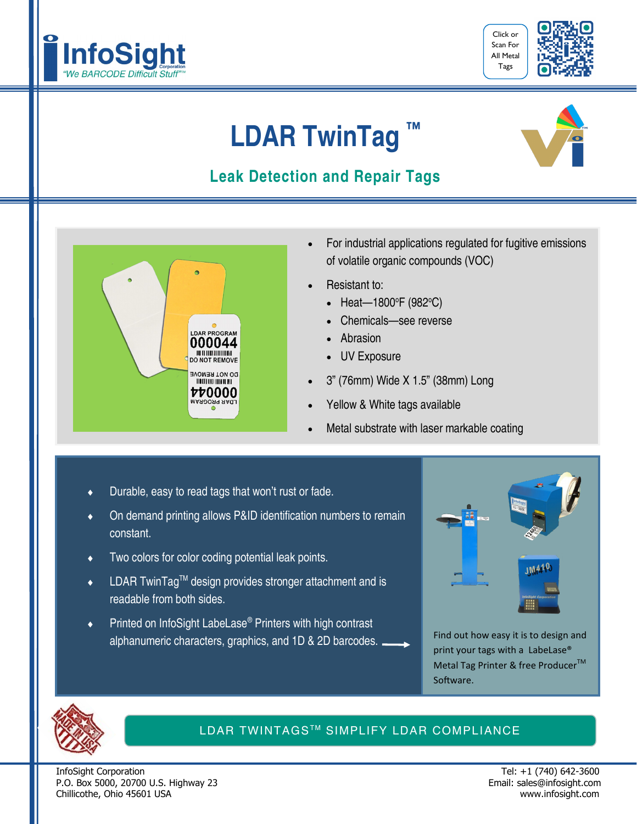



# **LDAR TwinTag**



### **Leak Detection and Repair Tags**



- For industrial applications regulated for fugitive emissions of volatile organic compounds (VOC)
- Resistant to:
	- Heat-1800°F (982°C)
	- Chemicals—see reverse
	- Abrasion
	- UV Exposure
- 3" (76mm) Wide X 1.5" (38mm) Long
- Yellow & White tags available
- Metal substrate with laser markable coating
- Durable, easy to read tags that won't rust or fade.
- On demand printing allows P&ID identification numbers to remain constant.
- Two colors for color coding potential leak points.
- LDAR TwinTag™ design provides stronger attachment and is readable from both sides.
- Printed on InfoSight LabeLase® Printers with high contrast alphanumeric characters, graphics, and 1D & 2D barcodes. Find out how easy it is to design and



print your tags with a LabeLase® Metal Tag Printer & free Producer<sup>™</sup> Software.



#### LDAR TWINTAGSTM SIMPLIFY LDAR COMPLIANCE